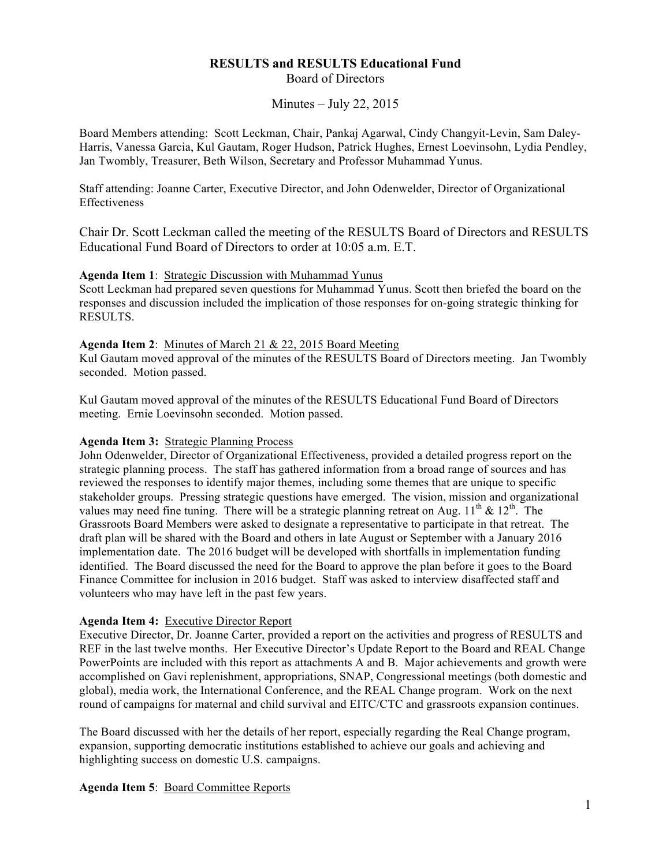# **RESULTS and RESULTS Educational Fund**  Board of Directors

Minutes – July 22, 2015

Board Members attending: Scott Leckman, Chair, Pankaj Agarwal, Cindy Changyit-Levin, Sam Daley-Harris, Vanessa Garcia, Kul Gautam, Roger Hudson, Patrick Hughes, Ernest Loevinsohn, Lydia Pendley, Jan Twombly, Treasurer, Beth Wilson, Secretary and Professor Muhammad Yunus.

Staff attending: Joanne Carter, Executive Director, and John Odenwelder, Director of Organizational Effectiveness

Chair Dr. Scott Leckman called the meeting of the RESULTS Board of Directors and RESULTS Educational Fund Board of Directors to order at 10:05 a.m. E.T.

### **Agenda Item 1**: Strategic Discussion with Muhammad Yunus

Scott Leckman had prepared seven questions for Muhammad Yunus. Scott then briefed the board on the responses and discussion included the implication of those responses for on-going strategic thinking for RESULTS.

## **Agenda Item 2**: Minutes of March 21 & 22, 2015 Board Meeting

Kul Gautam moved approval of the minutes of the RESULTS Board of Directors meeting. Jan Twombly seconded. Motion passed.

Kul Gautam moved approval of the minutes of the RESULTS Educational Fund Board of Directors meeting. Ernie Loevinsohn seconded. Motion passed.

## **Agenda Item 3:** Strategic Planning Process

John Odenwelder, Director of Organizational Effectiveness, provided a detailed progress report on the strategic planning process. The staff has gathered information from a broad range of sources and has reviewed the responses to identify major themes, including some themes that are unique to specific stakeholder groups. Pressing strategic questions have emerged. The vision, mission and organizational values may need fine tuning. There will be a strategic planning retreat on Aug.  $11<sup>th</sup> \& 12<sup>th</sup>$ . The Grassroots Board Members were asked to designate a representative to participate in that retreat. The draft plan will be shared with the Board and others in late August or September with a January 2016 implementation date. The 2016 budget will be developed with shortfalls in implementation funding identified. The Board discussed the need for the Board to approve the plan before it goes to the Board Finance Committee for inclusion in 2016 budget. Staff was asked to interview disaffected staff and volunteers who may have left in the past few years.

### **Agenda Item 4:** Executive Director Report

Executive Director, Dr. Joanne Carter, provided a report on the activities and progress of RESULTS and REF in the last twelve months. Her Executive Director's Update Report to the Board and REAL Change PowerPoints are included with this report as attachments A and B. Major achievements and growth were accomplished on Gavi replenishment, appropriations, SNAP, Congressional meetings (both domestic and global), media work, the International Conference, and the REAL Change program. Work on the next round of campaigns for maternal and child survival and EITC/CTC and grassroots expansion continues.

The Board discussed with her the details of her report, especially regarding the Real Change program, expansion, supporting democratic institutions established to achieve our goals and achieving and highlighting success on domestic U.S. campaigns.

## **Agenda Item 5**: Board Committee Reports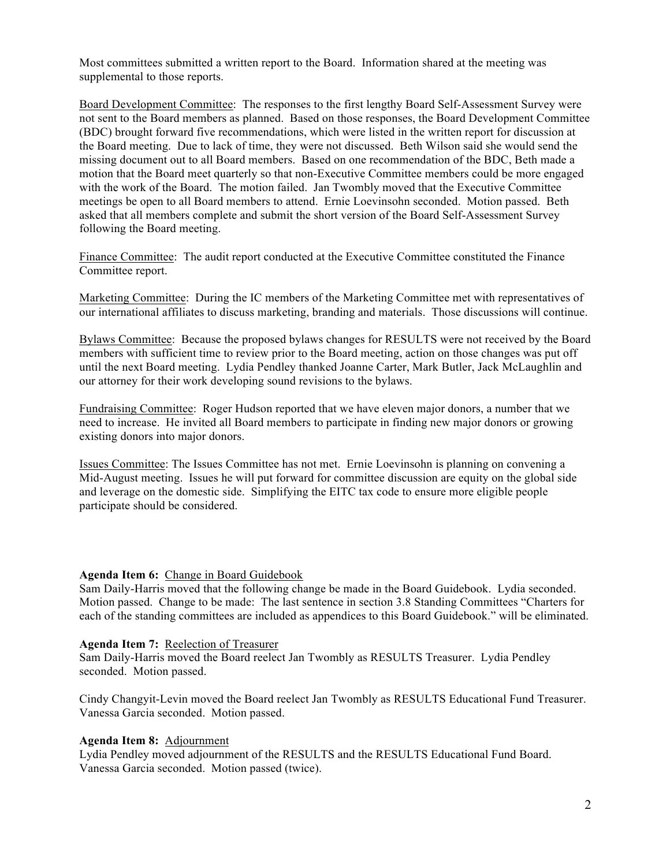Most committees submitted a written report to the Board. Information shared at the meeting was supplemental to those reports.

Board Development Committee: The responses to the first lengthy Board Self-Assessment Survey were not sent to the Board members as planned. Based on those responses, the Board Development Committee (BDC) brought forward five recommendations, which were listed in the written report for discussion at the Board meeting. Due to lack of time, they were not discussed. Beth Wilson said she would send the missing document out to all Board members. Based on one recommendation of the BDC, Beth made a motion that the Board meet quarterly so that non-Executive Committee members could be more engaged with the work of the Board. The motion failed. Jan Twombly moved that the Executive Committee meetings be open to all Board members to attend. Ernie Loevinsohn seconded. Motion passed. Beth asked that all members complete and submit the short version of the Board Self-Assessment Survey following the Board meeting.

Finance Committee: The audit report conducted at the Executive Committee constituted the Finance Committee report.

Marketing Committee: During the IC members of the Marketing Committee met with representatives of our international affiliates to discuss marketing, branding and materials. Those discussions will continue.

Bylaws Committee: Because the proposed bylaws changes for RESULTS were not received by the Board members with sufficient time to review prior to the Board meeting, action on those changes was put off until the next Board meeting. Lydia Pendley thanked Joanne Carter, Mark Butler, Jack McLaughlin and our attorney for their work developing sound revisions to the bylaws.

Fundraising Committee: Roger Hudson reported that we have eleven major donors, a number that we need to increase. He invited all Board members to participate in finding new major donors or growing existing donors into major donors.

Issues Committee: The Issues Committee has not met. Ernie Loevinsohn is planning on convening a Mid-August meeting. Issues he will put forward for committee discussion are equity on the global side and leverage on the domestic side. Simplifying the EITC tax code to ensure more eligible people participate should be considered.

### **Agenda Item 6:** Change in Board Guidebook

Sam Daily-Harris moved that the following change be made in the Board Guidebook. Lydia seconded. Motion passed. Change to be made: The last sentence in section 3.8 Standing Committees "Charters for each of the standing committees are included as appendices to this Board Guidebook." will be eliminated.

### **Agenda Item 7:** Reelection of Treasurer

Sam Daily-Harris moved the Board reelect Jan Twombly as RESULTS Treasurer. Lydia Pendley seconded. Motion passed.

Cindy Changyit-Levin moved the Board reelect Jan Twombly as RESULTS Educational Fund Treasurer. Vanessa Garcia seconded. Motion passed.

#### **Agenda Item 8:** Adjournment

Lydia Pendley moved adjournment of the RESULTS and the RESULTS Educational Fund Board. Vanessa Garcia seconded. Motion passed (twice).